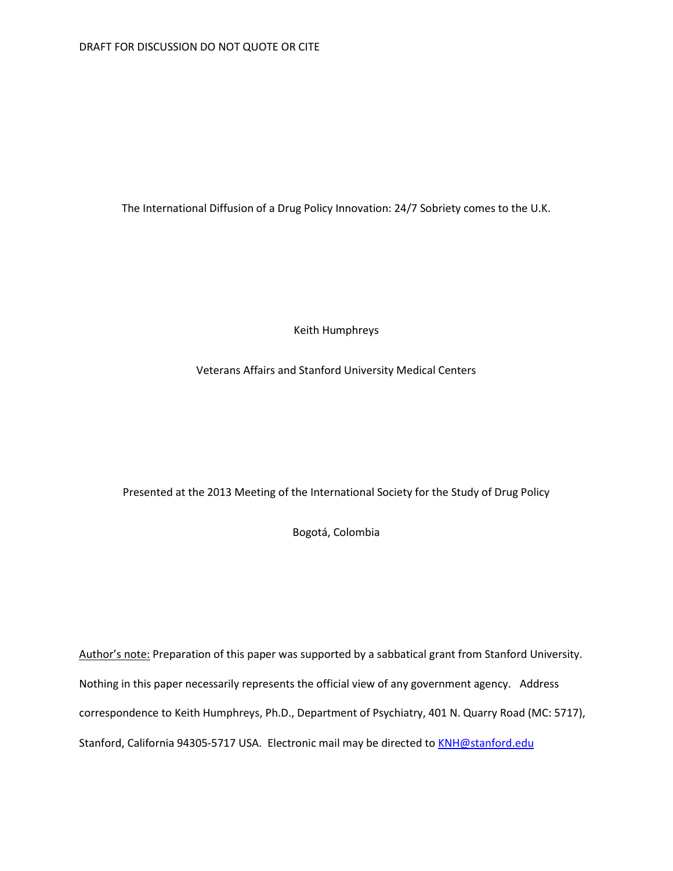The International Diffusion of a Drug Policy Innovation: 24/7 Sobriety comes to the U.K.

Keith Humphreys

Veterans Affairs and Stanford University Medical Centers

Presented at the 2013 Meeting of the International Society for the Study of Drug Policy

Bogotá, Colombia

Author's note: Preparation of this paper was supported by a sabbatical grant from Stanford University. Nothing in this paper necessarily represents the official view of any government agency. Address correspondence to Keith Humphreys, Ph.D., Department of Psychiatry, 401 N. Quarry Road (MC: 5717), Stanford, California 94305-5717 USA. Electronic mail may be directed t[o KNH@stanford.edu](mailto:KNH@stanford.edu)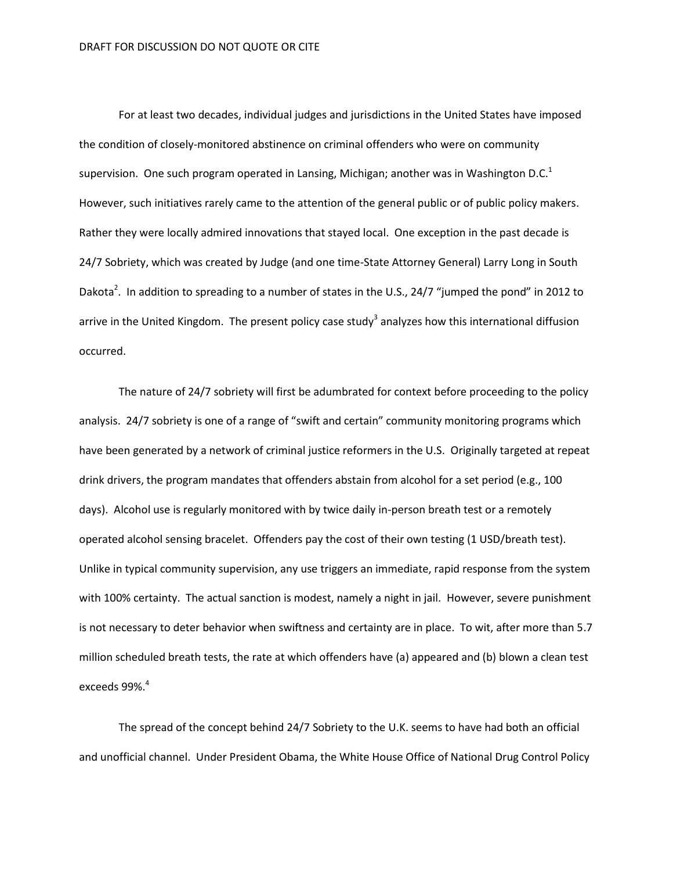For at least two decades, individual judges and jurisdictions in the United States have imposed the condition of closely-monitored abstinence on criminal offenders who were on community supervision. One such program operated in Lansing, Michigan; another was in Washington D.C.<sup>1</sup> However, such initiatives rarely came to the attention of the general public or of public policy makers. Rather they were locally admired innovations that stayed local. One exception in the past decade is 24/7 Sobriety, which was created by Judge (and one time-State Attorney General) Larry Long in South Dakota<sup>2</sup>. In addition to spreading to a number of states in the U.S., 24/7 "jumped the pond" in 2012 to arrive in the United Kingdom. The present policy case study<sup>3</sup> analyzes how this international diffusion occurred.

The nature of 24/7 sobriety will first be adumbrated for context before proceeding to the policy analysis. 24/7 sobriety is one of a range of "swift and certain" community monitoring programs which have been generated by a network of criminal justice reformers in the U.S. Originally targeted at repeat drink drivers, the program mandates that offenders abstain from alcohol for a set period (e.g., 100 days). Alcohol use is regularly monitored with by twice daily in-person breath test or a remotely operated alcohol sensing bracelet. Offenders pay the cost of their own testing (1 USD/breath test). Unlike in typical community supervision, any use triggers an immediate, rapid response from the system with 100% certainty. The actual sanction is modest, namely a night in jail. However, severe punishment is not necessary to deter behavior when swiftness and certainty are in place. To wit, after more than 5.7 million scheduled breath tests, the rate at which offenders have (a) appeared and (b) blown a clean test exceeds 99%.<sup>4</sup>

The spread of the concept behind 24/7 Sobriety to the U.K. seems to have had both an official and unofficial channel. Under President Obama, the White House Office of National Drug Control Policy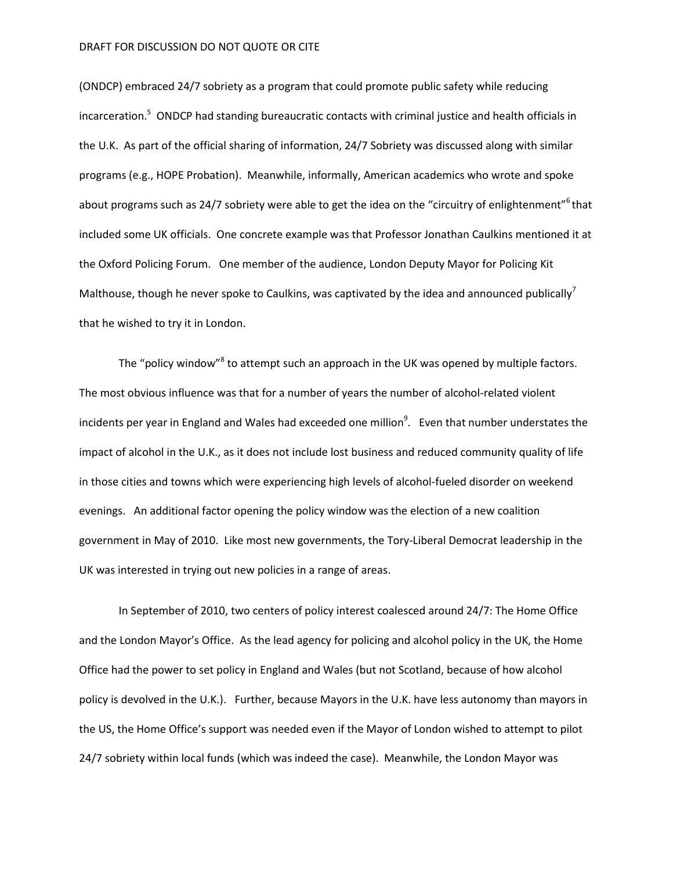## DRAFT FOR DISCUSSION DO NOT QUOTE OR CITE

(ONDCP) embraced 24/7 sobriety as a program that could promote public safety while reducing incarceration.<sup>5</sup> ONDCP had standing bureaucratic contacts with criminal justice and health officials in the U.K. As part of the official sharing of information, 24/7 Sobriety was discussed along with similar programs (e.g., HOPE Probation). Meanwhile, informally, American academics who wrote and spoke about programs such as 24/7 sobriety were able to get the idea on the "circuitry of enlightenment"<sup>6</sup> that included some UK officials. One concrete example was that Professor Jonathan Caulkins mentioned it at the Oxford Policing Forum. One member of the audience, London Deputy Mayor for Policing Kit Malthouse, though he never spoke to Caulkins, was captivated by the idea and announced publically<sup>7</sup> that he wished to try it in London.

The "policy window"<sup>8</sup> to attempt such an approach in the UK was opened by multiple factors. The most obvious influence was that for a number of years the number of alcohol-related violent incidents per year in England and Wales had exceeded one million<sup>9</sup>. Even that number understates the impact of alcohol in the U.K., as it does not include lost business and reduced community quality of life in those cities and towns which were experiencing high levels of alcohol-fueled disorder on weekend evenings. An additional factor opening the policy window was the election of a new coalition government in May of 2010. Like most new governments, the Tory-Liberal Democrat leadership in the UK was interested in trying out new policies in a range of areas.

In September of 2010, two centers of policy interest coalesced around 24/7: The Home Office and the London Mayor's Office. As the lead agency for policing and alcohol policy in the UK, the Home Office had the power to set policy in England and Wales (but not Scotland, because of how alcohol policy is devolved in the U.K.). Further, because Mayors in the U.K. have less autonomy than mayors in the US, the Home Office's support was needed even if the Mayor of London wished to attempt to pilot 24/7 sobriety within local funds (which was indeed the case). Meanwhile, the London Mayor was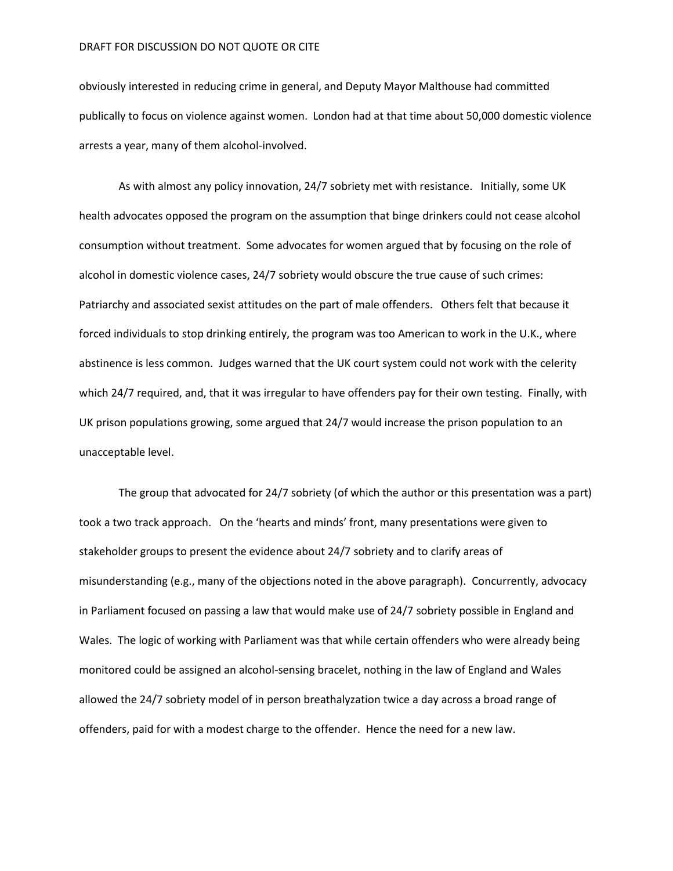## DRAFT FOR DISCUSSION DO NOT QUOTE OR CITE

obviously interested in reducing crime in general, and Deputy Mayor Malthouse had committed publically to focus on violence against women. London had at that time about 50,000 domestic violence arrests a year, many of them alcohol-involved.

As with almost any policy innovation, 24/7 sobriety met with resistance. Initially, some UK health advocates opposed the program on the assumption that binge drinkers could not cease alcohol consumption without treatment. Some advocates for women argued that by focusing on the role of alcohol in domestic violence cases, 24/7 sobriety would obscure the true cause of such crimes: Patriarchy and associated sexist attitudes on the part of male offenders. Others felt that because it forced individuals to stop drinking entirely, the program was too American to work in the U.K., where abstinence is less common. Judges warned that the UK court system could not work with the celerity which 24/7 required, and, that it was irregular to have offenders pay for their own testing. Finally, with UK prison populations growing, some argued that 24/7 would increase the prison population to an unacceptable level.

The group that advocated for 24/7 sobriety (of which the author or this presentation was a part) took a two track approach. On the 'hearts and minds' front, many presentations were given to stakeholder groups to present the evidence about 24/7 sobriety and to clarify areas of misunderstanding (e.g., many of the objections noted in the above paragraph). Concurrently, advocacy in Parliament focused on passing a law that would make use of 24/7 sobriety possible in England and Wales. The logic of working with Parliament was that while certain offenders who were already being monitored could be assigned an alcohol-sensing bracelet, nothing in the law of England and Wales allowed the 24/7 sobriety model of in person breathalyzation twice a day across a broad range of offenders, paid for with a modest charge to the offender. Hence the need for a new law.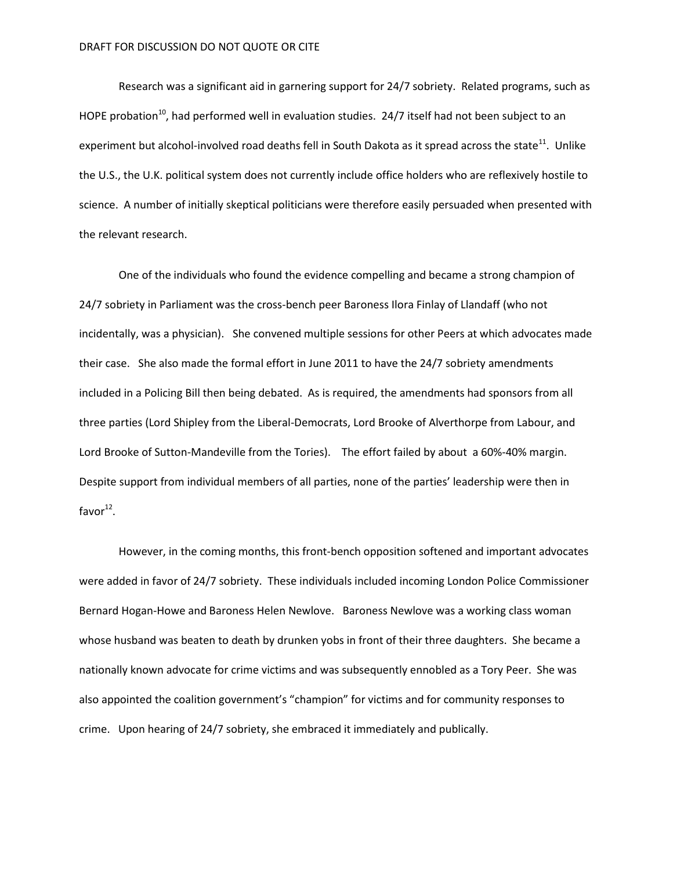Research was a significant aid in garnering support for 24/7 sobriety. Related programs, such as HOPE probation<sup>10</sup>, had performed well in evaluation studies. 24/7 itself had not been subject to an experiment but alcohol-involved road deaths fell in South Dakota as it spread across the state<sup>11</sup>. Unlike the U.S., the U.K. political system does not currently include office holders who are reflexively hostile to science. A number of initially skeptical politicians were therefore easily persuaded when presented with the relevant research.

One of the individuals who found the evidence compelling and became a strong champion of 24/7 sobriety in Parliament was the cross-bench peer Baroness Ilora Finlay of Llandaff (who not incidentally, was a physician). She convened multiple sessions for other Peers at which advocates made their case. She also made the formal effort in June 2011 to have the 24/7 sobriety amendments included in a Policing Bill then being debated. As is required, the amendments had sponsors from all three parties (Lord Shipley from the Liberal-Democrats, Lord Brooke of Alverthorpe from Labour, and Lord Brooke of Sutton-Mandeville from the Tories). The effort failed by about a 60%-40% margin. Despite support from individual members of all parties, none of the parties' leadership were then in favor $^{12}$ .

However, in the coming months, this front-bench opposition softened and important advocates were added in favor of 24/7 sobriety. These individuals included incoming London Police Commissioner Bernard Hogan-Howe and Baroness Helen Newlove. Baroness Newlove was a working class woman whose husband was beaten to death by drunken yobs in front of their three daughters. She became a nationally known advocate for crime victims and was subsequently ennobled as a Tory Peer. She was also appointed the coalition government's "champion" for victims and for community responses to crime. Upon hearing of 24/7 sobriety, she embraced it immediately and publically.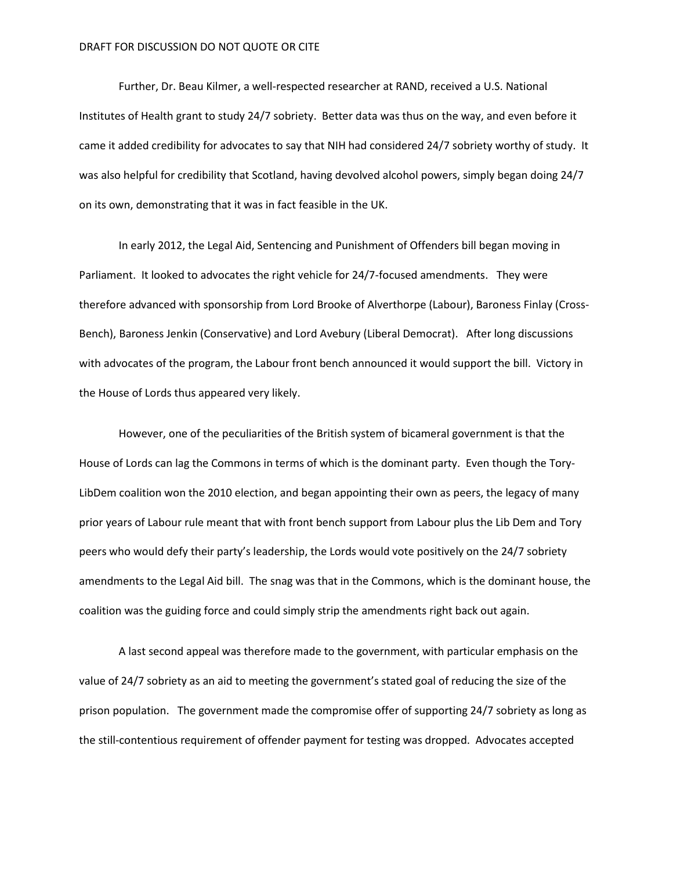Further, Dr. Beau Kilmer, a well-respected researcher at RAND, received a U.S. National Institutes of Health grant to study 24/7 sobriety. Better data was thus on the way, and even before it came it added credibility for advocates to say that NIH had considered 24/7 sobriety worthy of study. It was also helpful for credibility that Scotland, having devolved alcohol powers, simply began doing 24/7 on its own, demonstrating that it was in fact feasible in the UK.

In early 2012, the Legal Aid, Sentencing and Punishment of Offenders bill began moving in Parliament. It looked to advocates the right vehicle for 24/7-focused amendments. They were therefore advanced with sponsorship from Lord Brooke of Alverthorpe (Labour), Baroness Finlay (Cross-Bench), Baroness Jenkin (Conservative) and Lord Avebury (Liberal Democrat). After long discussions with advocates of the program, the Labour front bench announced it would support the bill. Victory in the House of Lords thus appeared very likely.

However, one of the peculiarities of the British system of bicameral government is that the House of Lords can lag the Commons in terms of which is the dominant party. Even though the Tory-LibDem coalition won the 2010 election, and began appointing their own as peers, the legacy of many prior years of Labour rule meant that with front bench support from Labour plus the Lib Dem and Tory peers who would defy their party's leadership, the Lords would vote positively on the 24/7 sobriety amendments to the Legal Aid bill. The snag was that in the Commons, which is the dominant house, the coalition was the guiding force and could simply strip the amendments right back out again.

A last second appeal was therefore made to the government, with particular emphasis on the value of 24/7 sobriety as an aid to meeting the government's stated goal of reducing the size of the prison population. The government made the compromise offer of supporting 24/7 sobriety as long as the still-contentious requirement of offender payment for testing was dropped. Advocates accepted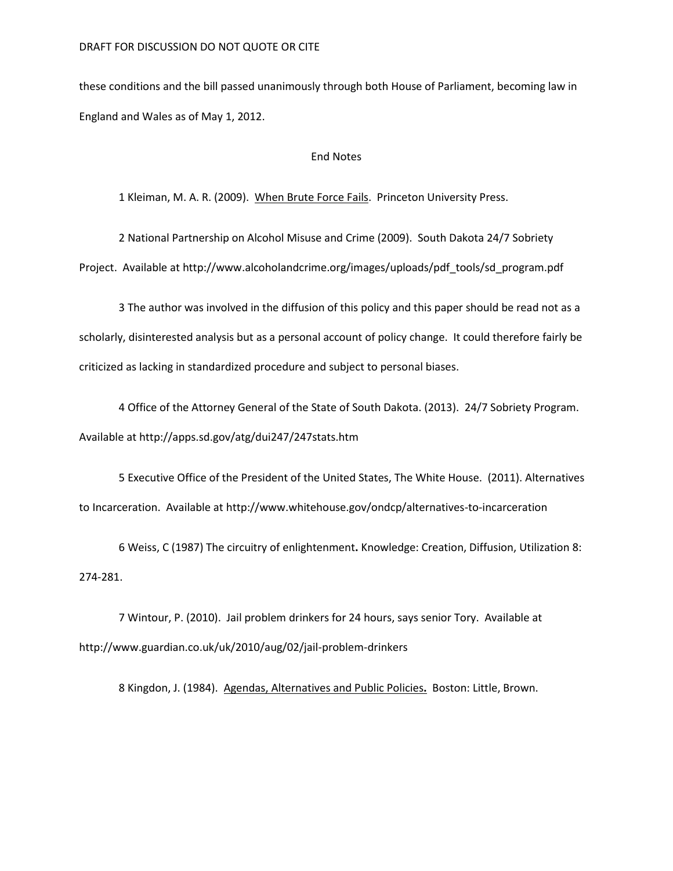these conditions and the bill passed unanimously through both House of Parliament, becoming law in England and Wales as of May 1, 2012.

## End Notes

1 Kleiman, M. A. R. (2009). When Brute Force Fails. Princeton University Press.

2 National Partnership on Alcohol Misuse and Crime (2009). South Dakota 24/7 Sobriety Project. Available at http://www.alcoholandcrime.org/images/uploads/pdf\_tools/sd\_program.pdf

3 The author was involved in the diffusion of this policy and this paper should be read not as a scholarly, disinterested analysis but as a personal account of policy change. It could therefore fairly be criticized as lacking in standardized procedure and subject to personal biases.

4 Office of the Attorney General of the State of South Dakota. (2013). 24/7 Sobriety Program. Available at http://apps.sd.gov/atg/dui247/247stats.htm

5 Executive Office of the President of the United States, The White House. (2011). Alternatives to Incarceration. Available at http://www.whitehouse.gov/ondcp/alternatives-to-incarceration

6 Weiss, C (1987) The circuitry of enlightenment**.** Knowledge: Creation, Diffusion, Utilization 8: 274-281.

7 Wintour, P. (2010). Jail problem drinkers for 24 hours, says senior Tory. Available at http://www.guardian.co.uk/uk/2010/aug/02/jail-problem-drinkers

8 Kingdon, J. (1984). Agendas, Alternatives and Public Policies**.** Boston: Little, Brown.